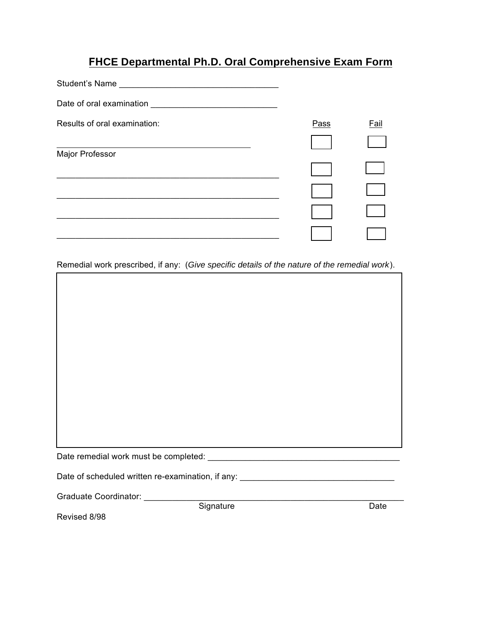## **FHCE Departmental Ph.D. Oral Comprehensive Exam Form**

| Date of oral examination     |             |             |
|------------------------------|-------------|-------------|
| Results of oral examination: | <b>Pass</b> | <b>Fail</b> |
|                              |             |             |
| Major Professor              |             |             |
|                              |             |             |
|                              |             |             |
|                              |             |             |
|                              |             |             |

Remedial work prescribed, if any: (*Give specific details of the nature of the remedial work*).

| Date of scheduled written re-examination, if any: _______ |  |  |  |  |  |
|-----------------------------------------------------------|--|--|--|--|--|

Graduate Coordinator: \_\_\_\_\_\_\_\_\_\_\_\_\_\_\_\_\_\_\_\_\_\_\_\_\_\_\_\_\_\_\_\_\_\_\_\_\_\_\_\_\_\_\_\_\_\_\_\_\_\_\_\_\_\_\_

Signature Date

Revised 8/98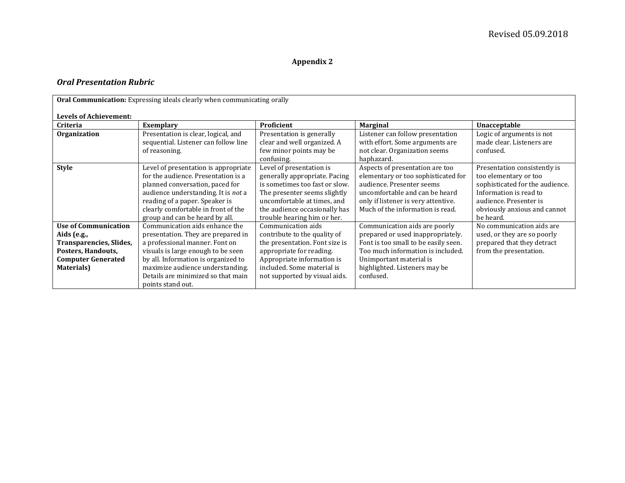## **Appendix 2**

## *Oral Presentation Rubric*

| Oral Communication: Expressing ideals clearly when communicating orally                                                                |                                                                                                                                                                                                                                                                                    |                                                                                                                                                                                                                            |                                                                                                                                                                                                                          |                                                                                                                                                                                           |  |  |  |
|----------------------------------------------------------------------------------------------------------------------------------------|------------------------------------------------------------------------------------------------------------------------------------------------------------------------------------------------------------------------------------------------------------------------------------|----------------------------------------------------------------------------------------------------------------------------------------------------------------------------------------------------------------------------|--------------------------------------------------------------------------------------------------------------------------------------------------------------------------------------------------------------------------|-------------------------------------------------------------------------------------------------------------------------------------------------------------------------------------------|--|--|--|
| <b>Levels of Achievement:</b>                                                                                                          |                                                                                                                                                                                                                                                                                    |                                                                                                                                                                                                                            |                                                                                                                                                                                                                          |                                                                                                                                                                                           |  |  |  |
| Criteria                                                                                                                               | <b>Exemplary</b>                                                                                                                                                                                                                                                                   | Proficient                                                                                                                                                                                                                 | <b>Marginal</b>                                                                                                                                                                                                          | Unacceptable                                                                                                                                                                              |  |  |  |
| <b>Organization</b>                                                                                                                    | Presentation is clear, logical, and<br>sequential. Listener can follow line<br>of reasoning.                                                                                                                                                                                       | Presentation is generally<br>clear and well organized. A<br>few minor points may be<br>confusing.                                                                                                                          | Listener can follow presentation<br>with effort. Some arguments are<br>not clear. Organization seems<br>haphazard.                                                                                                       | Logic of arguments is not<br>made clear. Listeners are<br>confused.                                                                                                                       |  |  |  |
| <b>Style</b>                                                                                                                           | Level of presentation is appropriate<br>for the audience. Presentation is a<br>planned conversation, paced for<br>audience understanding. It is not a<br>reading of a paper. Speaker is<br>clearly comfortable in front of the<br>group and can be heard by all.                   | Level of presentation is<br>generally appropriate. Pacing<br>is sometimes too fast or slow.<br>The presenter seems slightly<br>uncomfortable at times, and<br>the audience occasionally has<br>trouble hearing him or her. | Aspects of presentation are too<br>elementary or too sophisticated for<br>audience. Presenter seems<br>uncomfortable and can be heard<br>only if listener is very attentive.<br>Much of the information is read.         | Presentation consistently is<br>too elementary or too<br>sophisticated for the audience.<br>Information is read to<br>audience. Presenter is<br>obviously anxious and cannot<br>be heard. |  |  |  |
| <b>Use of Communication</b><br>Aids (e.g.,<br>Transparencies, Slides,<br>Posters, Handouts,<br><b>Computer Generated</b><br>Materials) | Communication aids enhance the<br>presentation. They are prepared in<br>a professional manner. Font on<br>visuals is large enough to be seen<br>by all. Information is organized to<br>maximize audience understanding.<br>Details are minimized so that main<br>points stand out. | Communication aids<br>contribute to the quality of<br>the presentation. Font size is<br>appropriate for reading.<br>Appropriate information is<br>included. Some material is<br>not supported by visual aids.              | Communication aids are poorly<br>prepared or used inappropriately.<br>Font is too small to be easily seen.<br>Too much information is included.<br>Unimportant material is<br>highlighted. Listeners may be<br>confused. | No communication aids are<br>used, or they are so poorly<br>prepared that they detract<br>from the presentation.                                                                          |  |  |  |